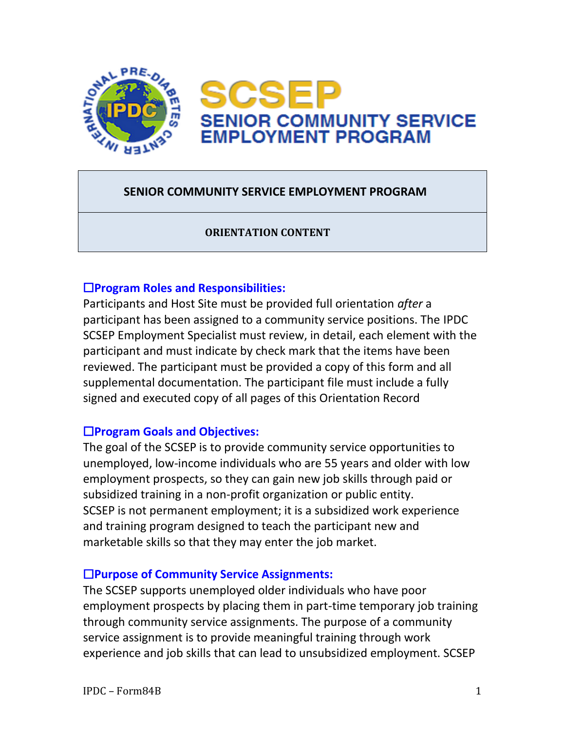

# **SENIOR COMMUNITY SERVICE EMPLOYMENT PROGRAM**

### **ORIENTATION CONTENT**

### ☐**Program Roles and Responsibilities:**

Participants and Host Site must be provided full orientation *after* a participant has been assigned to a community service positions. The IPDC SCSEP Employment Specialist must review, in detail, each element with the participant and must indicate by check mark that the items have been reviewed. The participant must be provided a copy of this form and all supplemental documentation. The participant file must include a fully signed and executed copy of all pages of this Orientation Record

## ☐**Program Goals and Objectives:**

The goal of the SCSEP is to provide community service opportunities to unemployed, low-income individuals who are 55 years and older with low employment prospects, so they can gain new job skills through paid or subsidized training in a non-profit organization or public entity. SCSEP is not permanent employment; it is a subsidized work experience and training program designed to teach the participant new and marketable skills so that they may enter the job market.

## ☐**Purpose of Community Service Assignments:**

The SCSEP supports unemployed older individuals who have poor employment prospects by placing them in part-time temporary job training through community service assignments. The purpose of a community service assignment is to provide meaningful training through work experience and job skills that can lead to unsubsidized employment. SCSEP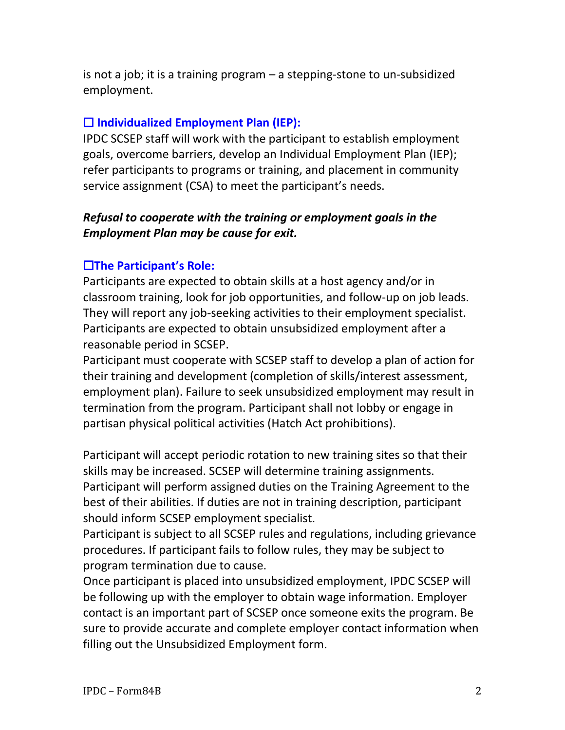is not a job; it is a training program – a stepping-stone to un-subsidized employment.

## ☐ **Individualized Employment Plan (IEP):**

IPDC SCSEP staff will work with the participant to establish employment goals, overcome barriers, develop an Individual Employment Plan (IEP); refer participants to programs or training, and placement in community service assignment (CSA) to meet the participant's needs.

# *Refusal to cooperate with the training or employment goals in the Employment Plan may be cause for exit.*

# ☐**The Participant's Role:**

Participants are expected to obtain skills at a host agency and/or in classroom training, look for job opportunities, and follow-up on job leads. They will report any job-seeking activities to their employment specialist. Participants are expected to obtain unsubsidized employment after a reasonable period in SCSEP.

Participant must cooperate with SCSEP staff to develop a plan of action for their training and development (completion of skills/interest assessment, employment plan). Failure to seek unsubsidized employment may result in termination from the program. Participant shall not lobby or engage in partisan physical political activities (Hatch Act prohibitions).

Participant will accept periodic rotation to new training sites so that their skills may be increased. SCSEP will determine training assignments. Participant will perform assigned duties on the Training Agreement to the best of their abilities. If duties are not in training description, participant should inform SCSEP employment specialist.

Participant is subject to all SCSEP rules and regulations, including grievance procedures. If participant fails to follow rules, they may be subject to program termination due to cause.

Once participant is placed into unsubsidized employment, IPDC SCSEP will be following up with the employer to obtain wage information. Employer contact is an important part of SCSEP once someone exits the program. Be sure to provide accurate and complete employer contact information when filling out the Unsubsidized Employment form.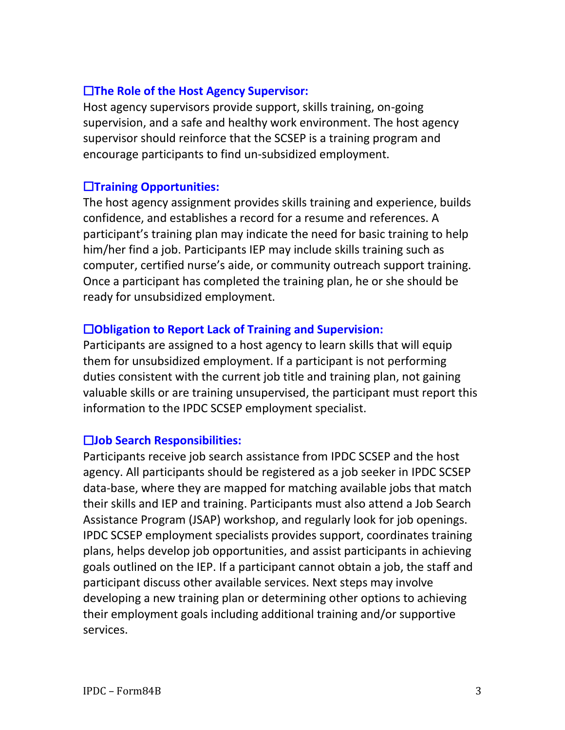## ☐**The Role of the Host Agency Supervisor:**

Host agency supervisors provide support, skills training, on-going supervision, and a safe and healthy work environment. The host agency supervisor should reinforce that the SCSEP is a training program and encourage participants to find un-subsidized employment.

## ☐**Training Opportunities:**

The host agency assignment provides skills training and experience, builds confidence, and establishes a record for a resume and references. A participant's training plan may indicate the need for basic training to help him/her find a job. Participants IEP may include skills training such as computer, certified nurse's aide, or community outreach support training. Once a participant has completed the training plan, he or she should be ready for unsubsidized employment.

## ☐**Obligation to Report Lack of Training and Supervision:**

Participants are assigned to a host agency to learn skills that will equip them for unsubsidized employment. If a participant is not performing duties consistent with the current job title and training plan, not gaining valuable skills or are training unsupervised, the participant must report this information to the IPDC SCSEP employment specialist.

## ☐**Job Search Responsibilities:**

Participants receive job search assistance from IPDC SCSEP and the host agency. All participants should be registered as a job seeker in IPDC SCSEP data-base, where they are mapped for matching available jobs that match their skills and IEP and training. Participants must also attend a Job Search Assistance Program (JSAP) workshop, and regularly look for job openings. IPDC SCSEP employment specialists provides support, coordinates training plans, helps develop job opportunities, and assist participants in achieving goals outlined on the IEP. If a participant cannot obtain a job, the staff and participant discuss other available services. Next steps may involve developing a new training plan or determining other options to achieving their employment goals including additional training and/or supportive services.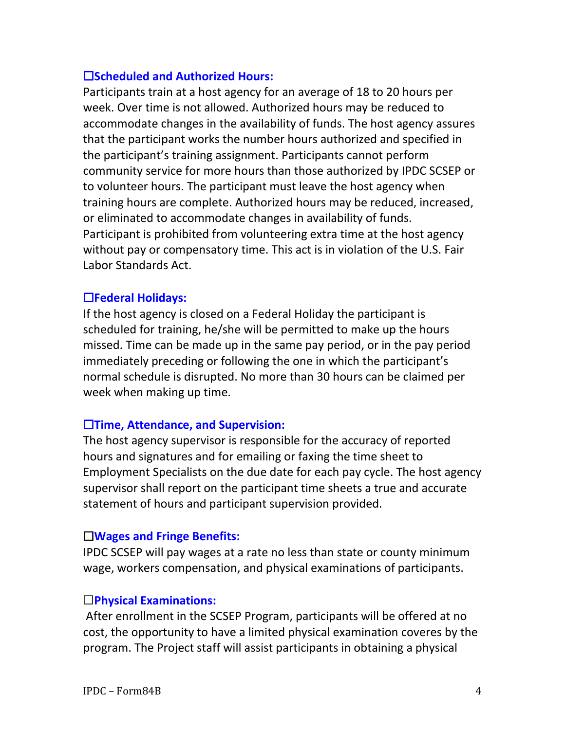## ☐**Scheduled and Authorized Hours:**

Participants train at a host agency for an average of 18 to 20 hours per week. Over time is not allowed. Authorized hours may be reduced to accommodate changes in the availability of funds. The host agency assures that the participant works the number hours authorized and specified in the participant's training assignment. Participants cannot perform community service for more hours than those authorized by IPDC SCSEP or to volunteer hours. The participant must leave the host agency when training hours are complete. Authorized hours may be reduced, increased, or eliminated to accommodate changes in availability of funds. Participant is prohibited from volunteering extra time at the host agency without pay or compensatory time. This act is in violation of the U.S. Fair Labor Standards Act.

### ☐**Federal Holidays:**

If the host agency is closed on a Federal Holiday the participant is scheduled for training, he/she will be permitted to make up the hours missed. Time can be made up in the same pay period, or in the pay period immediately preceding or following the one in which the participant's normal schedule is disrupted. No more than 30 hours can be claimed per week when making up time.

#### ☐**Time, Attendance, and Supervision:**

The host agency supervisor is responsible for the accuracy of reported hours and signatures and for emailing or faxing the time sheet to Employment Specialists on the due date for each pay cycle. The host agency supervisor shall report on the participant time sheets a true and accurate statement of hours and participant supervision provided.

### ☐**Wages and Fringe Benefits:**

IPDC SCSEP will pay wages at a rate no less than state or county minimum wage, workers compensation, and physical examinations of participants.

### ☐**Physical Examinations:**

After enrollment in the SCSEP Program, participants will be offered at no cost, the opportunity to have a limited physical examination coveres by the program. The Project staff will assist participants in obtaining a physical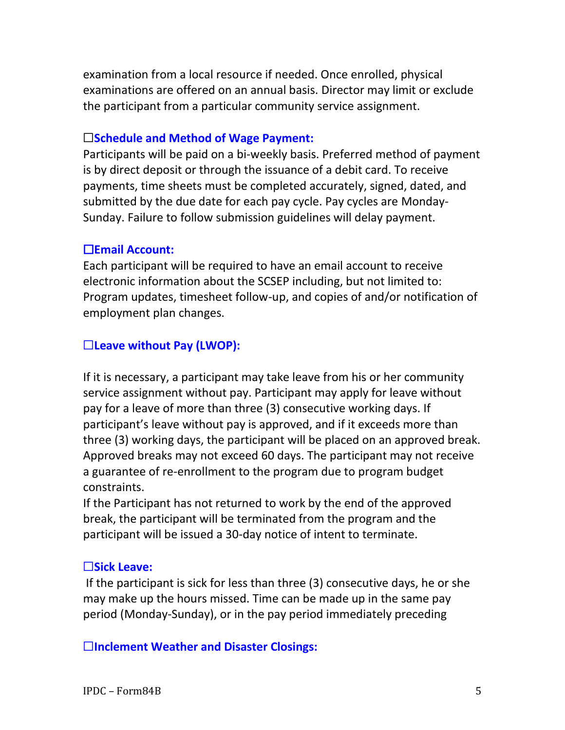examination from a local resource if needed. Once enrolled, physical examinations are offered on an annual basis. Director may limit or exclude the participant from a particular community service assignment.

### ☐**Schedule and Method of Wage Payment:**

Participants will be paid on a bi-weekly basis. Preferred method of payment is by direct deposit or through the issuance of a debit card. To receive payments, time sheets must be completed accurately, signed, dated, and submitted by the due date for each pay cycle. Pay cycles are Monday-Sunday. Failure to follow submission guidelines will delay payment.

### ☐**Email Account:**

Each participant will be required to have an email account to receive electronic information about the SCSEP including, but not limited to: Program updates, timesheet follow-up, and copies of and/or notification of employment plan changes.

### ☐**Leave without Pay (LWOP):**

If it is necessary, a participant may take leave from his or her community service assignment without pay. Participant may apply for leave without pay for a leave of more than three (3) consecutive working days. If participant's leave without pay is approved, and if it exceeds more than three (3) working days, the participant will be placed on an approved break. Approved breaks may not exceed 60 days. The participant may not receive a guarantee of re-enrollment to the program due to program budget constraints.

If the Participant has not returned to work by the end of the approved break, the participant will be terminated from the program and the participant will be issued a 30-day notice of intent to terminate.

### ☐**Sick Leave:**

If the participant is sick for less than three (3) consecutive days, he or she may make up the hours missed. Time can be made up in the same pay period (Monday-Sunday), or in the pay period immediately preceding

#### ☐**Inclement Weather and Disaster Closings:**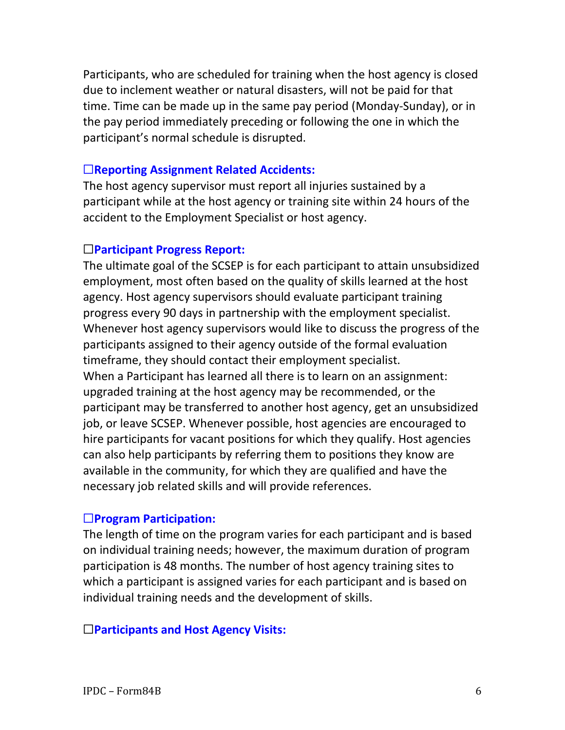Participants, who are scheduled for training when the host agency is closed due to inclement weather or natural disasters, will not be paid for that time. Time can be made up in the same pay period (Monday-Sunday), or in the pay period immediately preceding or following the one in which the participant's normal schedule is disrupted.

#### ☐**Reporting Assignment Related Accidents:**

The host agency supervisor must report all injuries sustained by a participant while at the host agency or training site within 24 hours of the accident to the Employment Specialist or host agency.

#### ☐**Participant Progress Report:**

The ultimate goal of the SCSEP is for each participant to attain unsubsidized employment, most often based on the quality of skills learned at the host agency. Host agency supervisors should evaluate participant training progress every 90 days in partnership with the employment specialist. Whenever host agency supervisors would like to discuss the progress of the participants assigned to their agency outside of the formal evaluation timeframe, they should contact their employment specialist. When a Participant has learned all there is to learn on an assignment: upgraded training at the host agency may be recommended, or the participant may be transferred to another host agency, get an unsubsidized job, or leave SCSEP. Whenever possible, host agencies are encouraged to hire participants for vacant positions for which they qualify. Host agencies can also help participants by referring them to positions they know are available in the community, for which they are qualified and have the necessary job related skills and will provide references.

### ☐**Program Participation:**

The length of time on the program varies for each participant and is based on individual training needs; however, the maximum duration of program participation is 48 months. The number of host agency training sites to which a participant is assigned varies for each participant and is based on individual training needs and the development of skills.

#### ☐**Participants and Host Agency Visits:**